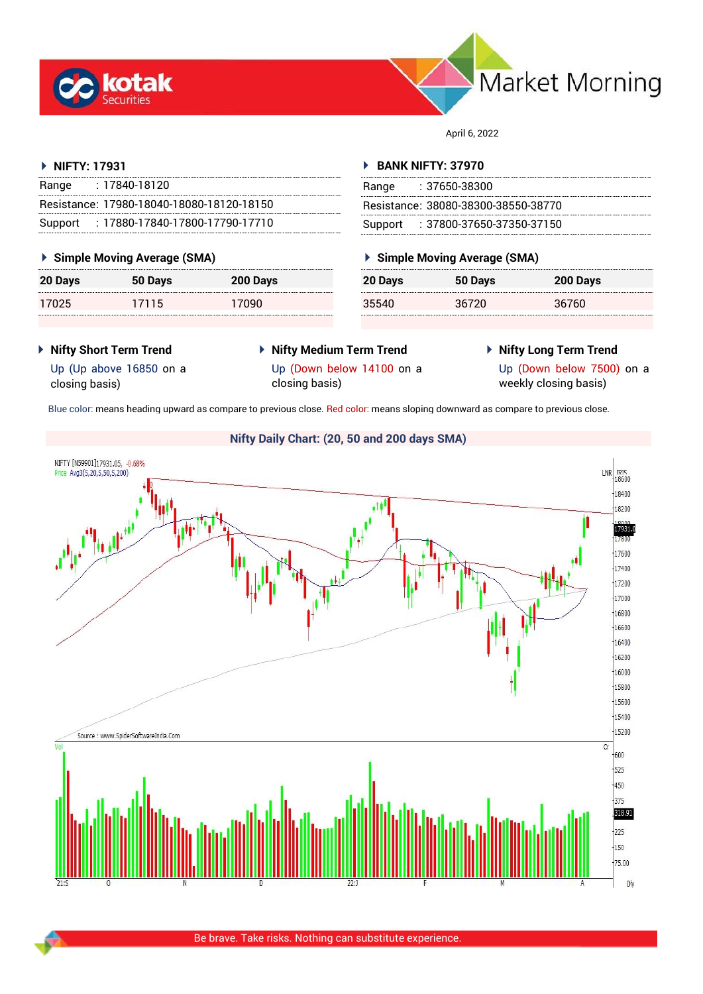



April 6, 2022

# **NIFTY: 17931**

| Range | : 17840-18120                             |
|-------|-------------------------------------------|
|       | Resistance: 17980-18040-18080-18120-18150 |
|       | Support: 17880-17840-17800-17790-17710    |

# **Simple Moving Average (SMA)**

| 20 Days | 50 Days | 200 Days |
|---------|---------|----------|
| 17025   | 17115   | 17090    |

# **BANK NIFTY: 37970**

| Range | : 37650-38300                       |
|-------|-------------------------------------|
|       | Resistance: 38080-38300-38550-38770 |
|       | Support: : 37800-37650-37350-37150  |

# **Simple Moving Average (SMA)**

| 20 Days | 50 Days | 200 Days |
|---------|---------|----------|
| 35540   | 36720   | 36760    |

- **Nifty Short Term Trend**
- **Nifty Medium Term Trend**
- **Nifty Long Term Trend**
- Up (Up above 16850 on a closing basis)
- Up (Down below 14100 on a
- 

closing basis)

Up (Down below 7500) on a weekly closing basis)

Blue color: means heading upward as compare to previous close. Red color: means sloping downward as compare to previous close.

# **Nifty Daily Chart: (20, 50 and 200 days SMA)**NIFTY [N59901]17931.05, -0.68% **LNR** TRIS Price Avg3(5,20,5,50,5,200) 18400 18200 17931.0 7800 17600 17400 17200 17000 16800 16600 16400 16200 16000 15800 15600  $15400$ 15200 Source : www.SpiderSoftwareIndia.Com  $\overline{C}$ 600 525 450 375 318.91 225  $150$ 75.00 DN

Be brave. Take risks. Nothing can substitute experience.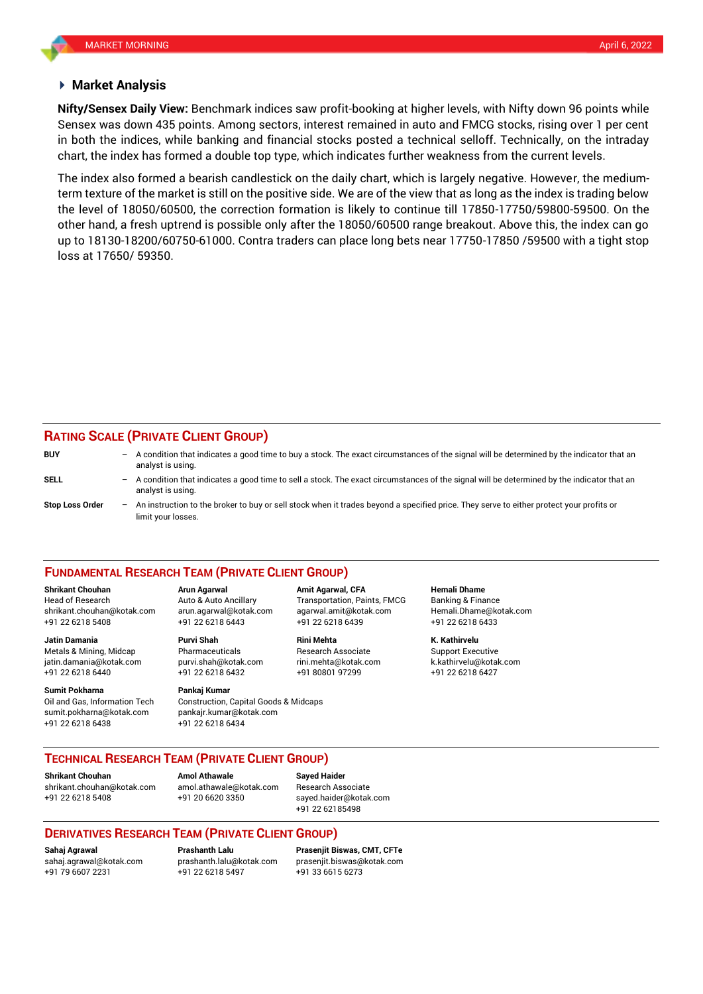## **Market Analysis**

Sensex was down 435 points. Among sectors, interest remained in auto and FMCG stocks, rising over 1 per cent **Nifty/Sensex Daily View:** Benchmark indices saw profit-booking at higher levels, with Nifty down 96 points while in both the indices, while banking and financial stocks posted a technical selloff. Technically, on the intraday chart, the index has formed a double top type, which indicates further weakness from the current levels.

The index also formed a bearish candlestick on the daily chart, which is largely negative. However, the mediumterm texture of the market is still on the positive side. We are of the view that as long as the index is trading below the level of 18050/60500, the correction formation is likely to continue till 17850-17750/59800-59500. On the other hand, a fresh uptrend is possible only after the 18050/60500 range breakout. Above this, the index can go up to 18130-18200/60750-61000. Contra traders can place long bets near 17750-17850 /59500 with a tight stop loss at 17650/ 59350.

# **RATING SCALE (PRIVATE CLIENT GROUP)**

| <b>BUY</b>             |     | - A condition that indicates a good time to buy a stock. The exact circumstances of the signal will be determined by the indicator that an<br>analyst is using.  |
|------------------------|-----|------------------------------------------------------------------------------------------------------------------------------------------------------------------|
| SELL                   |     | - A condition that indicates a good time to sell a stock. The exact circumstances of the signal will be determined by the indicator that an<br>analyst is using. |
| <b>Stop Loss Order</b> | $-$ | An instruction to the broker to buy or sell stock when it trades beyond a specified price. They serve to either protect your profits or<br>limit your losses.    |

# **FUNDAMENTAL RESEARCH TEAM (PRIVATE CLIENT GROUP)**

Head of Research Auto & Auto Ancillary Transportation, Paints, FMCG Banking & Finance [shrikant.chouhan@kotak.com](mailto:shrikant.chouhan@kotak.com) arun.agarwal@kotak.com agarwal.amit@kotak.com Hemali.Dhame@kotak.com

**Jatin Damania Purvi Shah Rini Mehta K. Kathirvelu** Metals & Mining, Midcap Pharmaceuticals Research Associate Support Executive jatin.damania@kotak.com [purvi.shah@kotak.com](mailto:purvi.shah@kotak.com) rini.mehta@kotak.com [k.kathirvelu@kotak.com](mailto:k.kathirvelu@kotak.com)

**Sumit Pokharna** Pankaj Kumar Oil and Gas, Information Tech Construction, Capital Goods & Midcaps

+91 22 6218 5408 +91 22 6218 6443 +91 22 6218 6439 +91 22 6218 6433

+91 22 6218 6440 +91 22 6218 6432 +91 80801 97299 +91 22 6218 6427

sumit.pokharna@kotak.com pankajr.kumar@kotak.com +91 22 6218 6438 +91 22 6218 6434

**Shrikant Chouhan Arun Agarwal Amit Agarwal, CFA Hemali Dhame**

# **TECHNICAL RESEARCH TEAM (PRIVATE CLIENT GROUP)**

[shrikant.chouhan@kotak.com](mailto:shrikant.chouhan@kotak.com) [amol.athawale@kotak.com](mailto:amol.athawale@kotak.com) Research Associate +91 22 6218 5408 +91 20 6620 3350 [sayed.haider@kotak.com](mailto:sayed.haider@kotak.com)

**Shrikant Chouhan**<br>**Amol Athawale Athawale Chomes and athawale @kotak com Besearch Ass** 

+91 22 62185498

# **DERIVATIVES RESEARCH TEAM (PRIVATE CLIENT GROUP)**

+91 79 6607 2231 +91 22 6218 5497 +91 33 6615 6273

**Sahaj Agrawal Prashanth Lalu Prasenjit Biswas, CMT, CFTe** [sahaj.agrawal@kotak.com](mailto:sahaj.agrawal@kotak.com) [prashanth.lalu@kotak.com](mailto:prashanth.lalu@kotak.com) [prasenjit.biswas@kotak.com](mailto:prasenjit.biswas@kotak.com)